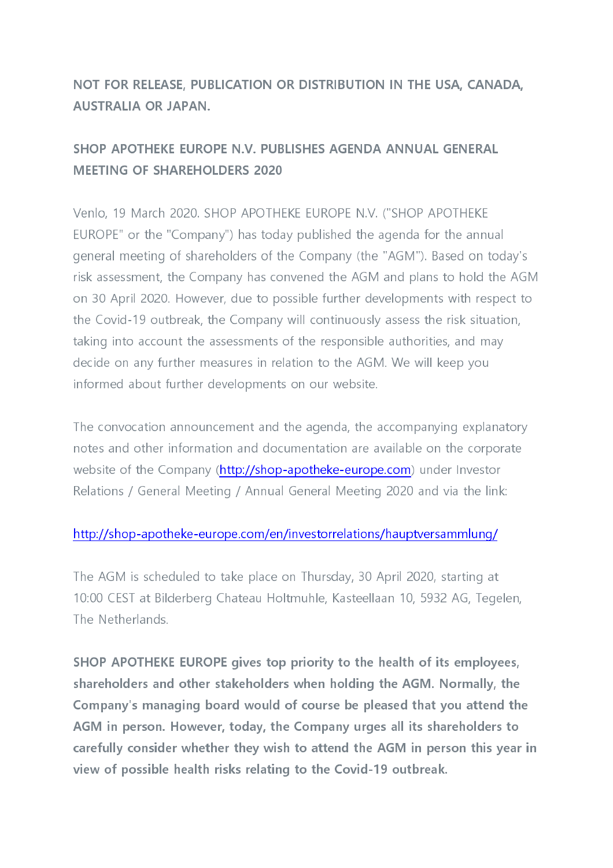## NOT FOR RELEASE, PUBLICATION OR DISTRIBUTION IN THE USA, CANADA, **AUSTRALIA OR JAPAN.**

## SHOP APOTHEKE EUROPE N.V. PUBLISHES AGENDA ANNUAL GENERAL **MEETING OF SHAREHOLDERS 2020**

Venlo, 19 March 2020. SHOP APOTHEKE EUROPE N.V. ("SHOP APOTHEKE EUROPE" or the "Company") has today published the agenda for the annual general meeting of shareholders of the Company (the "AGM"). Based on today's risk assessment, the Company has convened the AGM and plans to hold the AGM on 30 April 2020. However, due to possible further developments with respect to the Covid-19 outbreak, the Company will continuously assess the risk situation, taking into account the assessments of the responsible authorities, and may decide on any further measures in relation to the AGM. We will keep you informed about further developments on our website.

The convocation announcement and the agenda, the accompanying explanatory notes and other information and documentation are available on the corporate website of the Company (http://shop-apotheke-europe.com) under Investor Relations / General Meeting / Annual General Meeting 2020 and via the link:

## http://shop-apotheke-europe.com/en/investorrelations/hauptversammlung/

The AGM is scheduled to take place on Thursday, 30 April 2020, starting at 10:00 CEST at Bilderberg Chateau Holtmuhle, Kasteellaan 10, 5932 AG, Tegelen, The Netherlands

SHOP APOTHEKE EUROPE gives top priority to the health of its employees, shareholders and other stakeholders when holding the AGM. Normally, the Company's managing board would of course be pleased that you attend the AGM in person. However, today, the Company urges all its shareholders to carefully consider whether they wish to attend the AGM in person this year in view of possible health risks relating to the Covid-19 outbreak.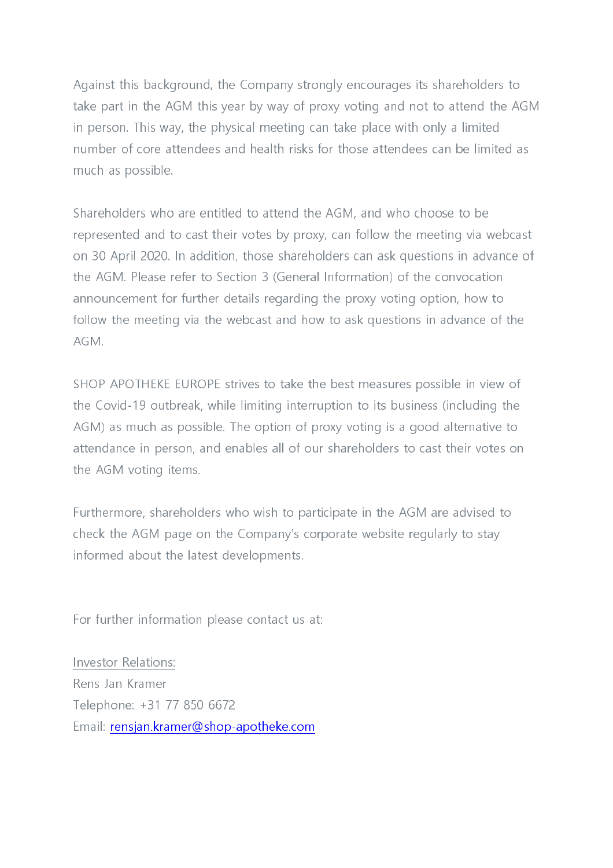Against this background, the Company strongly encourages its shareholders to take part in the AGM this year by way of proxy voting and not to attend the AGM in person. This way, the physical meeting can take place with only a limited number of core attendees and health risks for those attendees can be limited as much as possible.

Shareholders who are entitled to attend the AGM, and who choose to be represented and to cast their votes by proxy, can follow the meeting via webcast on 30 April 2020. In addition, those shareholders can ask questions in advance of the AGM. Please refer to Section 3 (General Information) of the convocation announcement for further details regarding the proxy voting option, how to follow the meeting via the webcast and how to ask questions in advance of the  $AGM$ 

SHOP APOTHEKE EUROPE strives to take the best measures possible in view of the Covid-19 outbreak, while limiting interruption to its business (including the AGM) as much as possible. The option of proxy voting is a good alternative to attendance in person, and enables all of our shareholders to cast their votes on the AGM voting items.

Furthermore, shareholders who wish to participate in the AGM are advised to check the AGM page on the Company's corporate website regularly to stay informed about the latest developments.

For further information please contact us at:

Investor Relations: Rens Jan Kramer Telephone: +31 77 850 6672 Email: rensjan.kramer@shop-apotheke.com